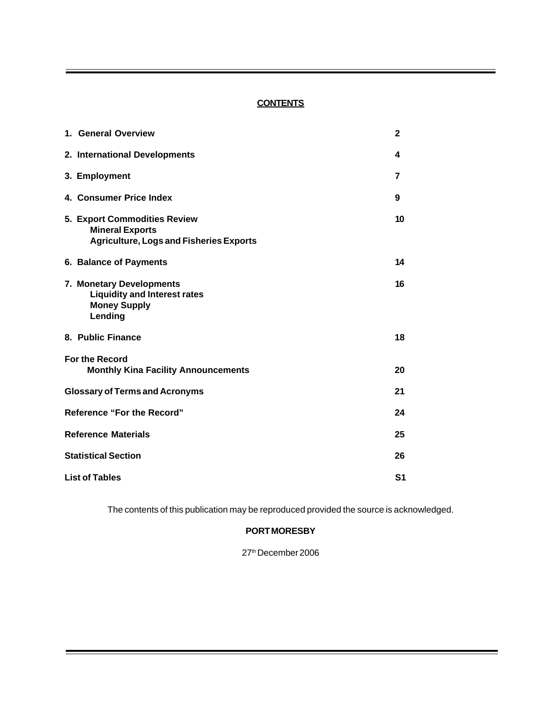## **CONTENTS**

| 1. General Overview                                                                                             | $\mathbf{2}$ |
|-----------------------------------------------------------------------------------------------------------------|--------------|
| 2. International Developments                                                                                   | 4            |
| 3. Employment                                                                                                   | 7            |
| 4. Consumer Price Index                                                                                         | 9            |
| <b>5. Export Commodities Review</b><br><b>Mineral Exports</b><br><b>Agriculture, Logs and Fisheries Exports</b> | 10           |
| 6. Balance of Payments                                                                                          | 14           |
| 7. Monetary Developments<br><b>Liquidity and Interest rates</b><br><b>Money Supply</b><br>Lending               | 16           |
| 8. Public Finance                                                                                               | 18           |
| <b>For the Record</b><br><b>Monthly Kina Facility Announcements</b>                                             | 20           |
| <b>Glossary of Terms and Acronyms</b>                                                                           | 21           |
| <b>Reference "For the Record"</b>                                                                               | 24           |
| <b>Reference Materials</b>                                                                                      | 25           |
| <b>Statistical Section</b>                                                                                      |              |
| <b>List of Tables</b>                                                                                           |              |

The contents of this publication may be reproduced provided the source is acknowledged.

## **PORT MORESBY**

27th December 2006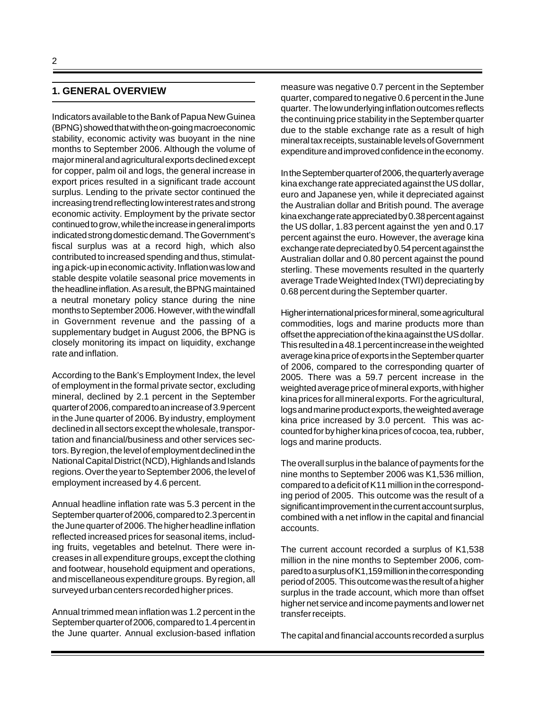## **1. GENERAL OVERVIEW**

Indicators available to the Bank of Papua New Guinea (BPNG) showed that with the on-going macroeconomic stability, economic activity was buoyant in the nine months to September 2006. Although the volume of major mineral and agricultural exports declined except for copper, palm oil and logs, the general increase in export prices resulted in a significant trade account surplus. Lending to the private sector continued the increasing trend reflecting low interest rates and strong economic activity. Employment by the private sector continued to grow, while the increase in general imports indicated strong domestic demand. The Government's fiscal surplus was at a record high, which also contributed to increased spending and thus, stimulating a pick-up in economic activity. Inflation was low and stable despite volatile seasonal price movements in the headline inflation. As a result, the BPNG maintained a neutral monetary policy stance during the nine months to September 2006. However, with the windfall in Government revenue and the passing of a supplementary budget in August 2006, the BPNG is closely monitoring its impact on liquidity, exchange rate and inflation.

According to the Bank's Employment Index, the level of employment in the formal private sector, excluding mineral, declined by 2.1 percent in the September quarter of 2006, compared to an increase of 3.9 percent in the June quarter of 2006. By industry, employment declined in all sectors except the wholesale, transportation and financial/business and other services sectors. By region, the level of employment declined in the National Capital District (NCD), Highlands and Islands regions. Over the year to September 2006, the level of employment increased by 4.6 percent.

Annual headline inflation rate was 5.3 percent in the September quarter of 2006, compared to 2.3 percent in the June quarter of 2006. The higher headline inflation reflected increased prices for seasonal items, including fruits, vegetables and betelnut. There were increases in all expenditure groups, except the clothing and footwear, household equipment and operations, and miscellaneous expenditure groups. By region, all surveyed urban centers recorded higher prices.

Annual trimmed mean inflation was 1.2 percent in the September quarter of 2006, compared to 1.4 percent in the June quarter. Annual exclusion-based inflation measure was negative 0.7 percent in the September quarter, compared to negative 0.6 percent in the June quarter. The low underlying inflation outcomes reflects the continuing price stability in the September quarter due to the stable exchange rate as a result of high mineral tax receipts, sustainable levels of Government expenditure and improved confidence in the economy.

In the September quarter of 2006, the quarterly average kina exchange rate appreciated against the US dollar, euro and Japanese yen, while it depreciated against the Australian dollar and British pound. The average kina exchange rate appreciated by 0.38 percent against the US dollar, 1.83 percent against the yen and 0.17 percent against the euro. However, the average kina exchange rate depreciated by 0.54 percent against the Australian dollar and 0.80 percent against the pound sterling. These movements resulted in the quarterly average Trade Weighted Index (TWI) depreciating by 0.68 percent during the September quarter.

Higher international prices for mineral, some agricultural commodities, logs and marine products more than offset the appreciation of the kina against the US dollar. This resulted in a 48.1 percent increase in the weighted average kina price of exports in the September quarter of 2006, compared to the corresponding quarter of 2005. There was a 59.7 percent increase in the weighted average price of mineral exports, with higher kina prices for all mineral exports. For the agricultural, logs and marine product exports, the weighted average kina price increased by 3.0 percent. This was accounted for by higher kina prices of cocoa, tea, rubber, logs and marine products.

The overall surplus in the balance of payments for the nine months to September 2006 was K1,536 million, compared to a deficit of K11 million in the corresponding period of 2005. This outcome was the result of a significant improvement in the current account surplus, combined with a net inflow in the capital and financial accounts.

The current account recorded a surplus of K1,538 million in the nine months to September 2006, compared to a surplus of K1,159 million in the corresponding period of 2005. This outcome was the result of a higher surplus in the trade account, which more than offset higher net service and income payments and lower net transfer receipts.

The capital and financial accounts recorded a surplus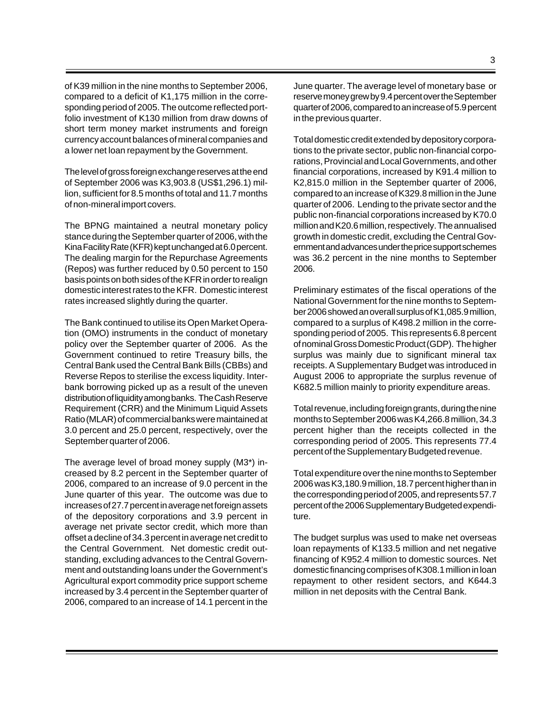of K39 million in the nine months to September 2006, compared to a deficit of K1,175 million in the corresponding period of 2005. The outcome reflected portfolio investment of K130 million from draw downs of short term money market instruments and foreign currency account balances of mineral companies and a lower net loan repayment by the Government.

The level of gross foreign exchange reserves at the end of September 2006 was K3,903.8 (US\$1,296.1) million, sufficient for 8.5 months of total and 11.7 months of non-mineral import covers.

The BPNG maintained a neutral monetary policy stance during the September quarter of 2006, with the Kina Facility Rate (KFR) kept unchanged at 6.0 percent. The dealing margin for the Repurchase Agreements (Repos) was further reduced by 0.50 percent to 150 basis points on both sides of the KFR in order to realign domestic interest rates to the KFR. Domestic interest rates increased slightly during the quarter.

The Bank continued to utilise its Open Market Operation (OMO) instruments in the conduct of monetary policy over the September quarter of 2006. As the Government continued to retire Treasury bills, the Central Bank used the Central Bank Bills (CBBs) and Reverse Repos to sterilise the excess liquidity. Interbank borrowing picked up as a result of the uneven distribution of liquidity among banks. The Cash Reserve Requirement (CRR) and the Minimum Liquid Assets Ratio (MLAR) of commercial banks were maintained at 3.0 percent and 25.0 percent, respectively, over the September quarter of 2006.

The average level of broad money supply (M3\*) increased by 8.2 percent in the September quarter of 2006, compared to an increase of 9.0 percent in the June quarter of this year. The outcome was due to increases of 27.7 percent in average net foreign assets of the depository corporations and 3.9 percent in average net private sector credit, which more than offset a decline of 34.3 percent in average net credit to the Central Government. Net domestic credit outstanding, excluding advances to the Central Government and outstanding loans under the Government's Agricultural export commodity price support scheme increased by 3.4 percent in the September quarter of 2006, compared to an increase of 14.1 percent in the

Total domestic credit extended by depository corporations to the private sector, public non-financial corporations, Provincial and Local Governments, and other financial corporations, increased by K91.4 million to K2,815.0 million in the September quarter of 2006, compared to an increase of K329.8 million in the June quarter of 2006. Lending to the private sector and the public non-financial corporations increased by K70.0 million and K20.6 million, respectively. The annualised growth in domestic credit, excluding the Central Government and advances under the price support schemes was 36.2 percent in the nine months to September 2006.

in the previous quarter.

Preliminary estimates of the fiscal operations of the National Government for the nine months to September 2006 showed an overall surplus of K1,085.9 million, compared to a surplus of K498.2 million in the corresponding period of 2005. This represents 6.8 percent of nominal Gross Domestic Product (GDP). The higher surplus was mainly due to significant mineral tax receipts. A Supplementary Budget was introduced in August 2006 to appropriate the surplus revenue of K682.5 million mainly to priority expenditure areas.

Total revenue, including foreign grants, during the nine months to September 2006 was K4,266.8 million, 34.3 percent higher than the receipts collected in the corresponding period of 2005. This represents 77.4 percent of the Supplementary Budgeted revenue.

Total expenditure over the nine months to September 2006 was K3,180.9 million, 18.7 percent higher than in the corresponding period of 2005, and represents 57.7 percent of the 2006 Supplementary Budgeted expenditure.

The budget surplus was used to make net overseas loan repayments of K133.5 million and net negative financing of K952.4 million to domestic sources. Net domestic financing comprises of K308.1 million in loan repayment to other resident sectors, and K644.3 million in net deposits with the Central Bank.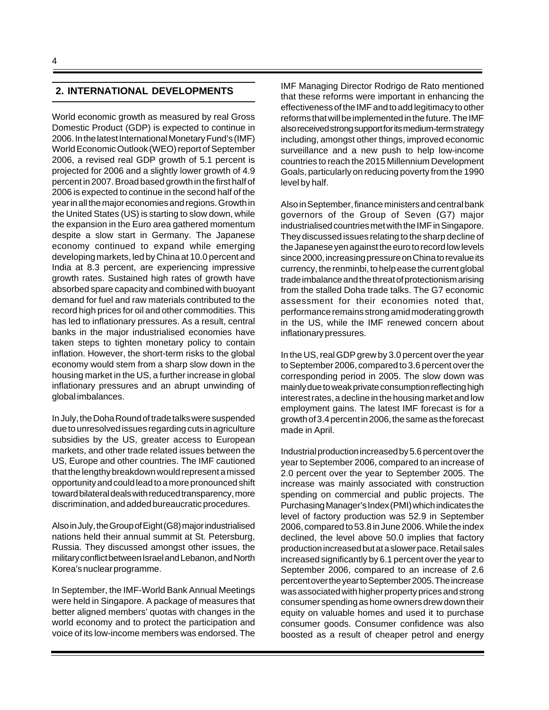#### **2. INTERNATIONAL DEVELOPMENTS**

World economic growth as measured by real Gross Domestic Product (GDP) is expected to continue in 2006. In the latest International Monetary Fund's (IMF) World Economic Outlook (WEO) report of September 2006, a revised real GDP growth of 5.1 percent is projected for 2006 and a slightly lower growth of 4.9 percent in 2007. Broad based growth in the first half of 2006 is expected to continue in the second half of the year in all the major economies and regions. Growth in the United States (US) is starting to slow down, while the expansion in the Euro area gathered momentum despite a slow start in Germany. The Japanese economy continued to expand while emerging developing markets, led by China at 10.0 percent and India at 8.3 percent, are experiencing impressive growth rates. Sustained high rates of growth have absorbed spare capacity and combined with buoyant demand for fuel and raw materials contributed to the record high prices for oil and other commodities. This has led to inflationary pressures. As a result, central banks in the major industrialised economies have taken steps to tighten monetary policy to contain inflation. However, the short-term risks to the global economy would stem from a sharp slow down in the housing market in the US, a further increase in global inflationary pressures and an abrupt unwinding of global imbalances.

In July, the Doha Round of trade talks were suspended due to unresolved issues regarding cuts in agriculture subsidies by the US, greater access to European markets, and other trade related issues between the US, Europe and other countries. The IMF cautioned that the lengthy breakdown would represent a missed opportunity and could lead to a more pronounced shift toward bilateral deals with reduced transparency, more discrimination, and added bureaucratic procedures.

Also in July, the Group of Eight (G8) major industrialised nations held their annual summit at St. Petersburg, Russia. They discussed amongst other issues, the military conflict between Israel and Lebanon, and North Korea's nuclear programme.

In September, the IMF-World Bank Annual Meetings were held in Singapore. A package of measures that better aligned members' quotas with changes in the world economy and to protect the participation and voice of its low-income members was endorsed. The IMF Managing Director Rodrigo de Rato mentioned that these reforms were important in enhancing the effectiveness of the IMF and to add legitimacy to other reforms that will be implemented in the future. The IMF also received strong support for its medium-term strategy including, amongst other things, improved economic surveillance and a new push to help low-income countries to reach the 2015 Millennium Development Goals, particularly on reducing poverty from the 1990 level by half.

Also in September, finance ministers and central bank governors of the Group of Seven (G7) major industrialised countries met with the IMF in Singapore. They discussed issues relating to the sharp decline of the Japanese yen against the euro to record low levels since 2000, increasing pressure on China to revalue its currency, the renminbi, to help ease the current global trade imbalance and the threat of protectionism arising from the stalled Doha trade talks. The G7 economic assessment for their economies noted that, performance remains strong amid moderating growth in the US, while the IMF renewed concern about inflationary pressures.

In the US, real GDP grew by 3.0 percent over the year to September 2006, compared to 3.6 percent over the corresponding period in 2005. The slow down was mainly due to weak private consumption reflecting high interest rates, a decline in the housing market and low employment gains. The latest IMF forecast is for a growth of 3.4 percent in 2006, the same as the forecast made in April.

Industrial production increased by 5.6 percent over the year to September 2006, compared to an increase of 2.0 percent over the year to September 2005. The increase was mainly associated with construction spending on commercial and public projects. The Purchasing Manager's Index (PMI) which indicates the level of factory production was 52.9 in September 2006, compared to 53.8 in June 2006. While the index declined, the level above 50.0 implies that factory production increased but at a slower pace. Retail sales increased significantly by 6.1 percent over the year to September 2006, compared to an increase of 2.6 percent over the year to September 2005.The increase was associated with higher property prices and strong consumer spending as home owners drew down their equity on valuable homes and used it to purchase consumer goods. Consumer confidence was also boosted as a result of cheaper petrol and energy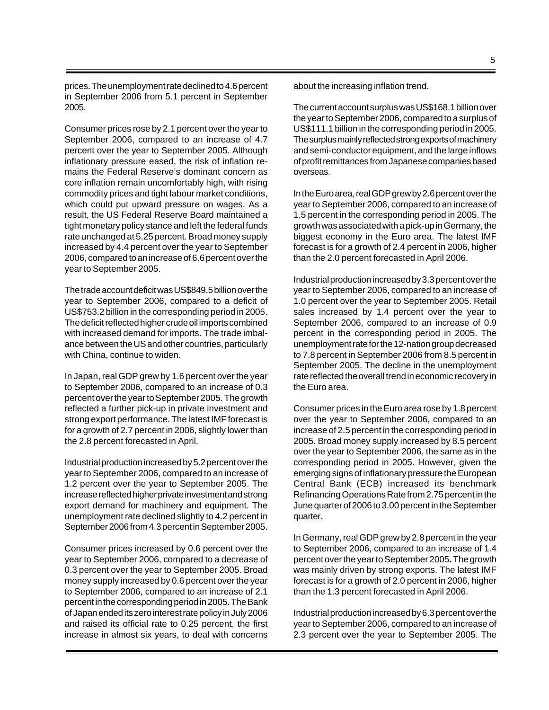prices. The unemployment rate declined to 4.6 percent in September 2006 from 5.1 percent in September 2005.

Consumer prices rose by 2.1 percent over the year to September 2006, compared to an increase of 4.7 percent over the year to September 2005. Although inflationary pressure eased, the risk of inflation remains the Federal Reserve's dominant concern as core inflation remain uncomfortably high, with rising commodity prices and tight labour market conditions, which could put upward pressure on wages. As a result, the US Federal Reserve Board maintained a tight monetary policy stance and left the federal funds rate unchanged at 5.25 percent. Broad money supply increased by 4.4 percent over the year to September 2006, compared to an increase of 6.6 percent over the year to September 2005.

The trade account deficit was US\$849.5 billion over the year to September 2006, compared to a deficit of US\$753.2 billion in the corresponding period in 2005. The deficit reflected higher crude oil imports combined with increased demand for imports. The trade imbalance between the US and other countries, particularly with China, continue to widen.

In Japan, real GDP grew by 1.6 percent over the year to September 2006, compared to an increase of 0.3 percent over the year to September 2005.The growth reflected a further pick-up in private investment and strong export performance. The latest IMF forecast is for a growth of 2.7 percent in 2006, slightly lower than the 2.8 percent forecasted in April.

Industrial production increased by 5.2 percent over the year to September 2006, compared to an increase of 1.2 percent over the year to September 2005. The increase reflected higher private investment and strong export demand for machinery and equipment. The unemployment rate declined slightly to 4.2 percent in September 2006 from 4.3 percent in September 2005.

Consumer prices increased by 0.6 percent over the year to September 2006, compared to a decrease of 0.3 percent over the year to September 2005. Broad money supply increased by 0.6 percent over the year to September 2006, compared to an increase of 2.1 percent in the corresponding period in 2005. The Bank of Japan ended its zero interest rate policy in July 2006 and raised its official rate to 0.25 percent, the first increase in almost six years, to deal with concerns

about the increasing inflation trend.

The current account surplus was US\$168.1 billion over the year to September 2006, compared to a surplus of US\$111.1 billion in the corresponding period in 2005. The surplus mainly reflected strong exports of machinery and semi-conductor equipment, and the large inflows of profit remittances from Japanese companies based overseas.

In the Euro area, real GDP grew by 2.6 percent over the year to September 2006, compared to an increase of 1.5 percent in the corresponding period in 2005. The growth was associated with a pick-up in Germany, the biggest economy in the Euro area. The latest IMF forecast is for a growth of 2.4 percent in 2006, higher than the 2.0 percent forecasted in April 2006.

Industrial production increased by 3.3 percent over the year to September 2006, compared to an increase of 1.0 percent over the year to September 2005. Retail sales increased by 1.4 percent over the year to September 2006, compared to an increase of 0.9 percent in the corresponding period in 2005. The unemployment rate for the 12-nation group decreased to 7.8 percent in September 2006 from 8.5 percent in September 2005. The decline in the unemployment rate reflected the overall trend in economic recovery in the Euro area.

Consumer prices in the Euro area rose by 1.8 percent over the year to September 2006, compared to an increase of 2.5 percent in the corresponding period in 2005. Broad money supply increased by 8.5 percent over the year to September 2006, the same as in the corresponding period in 2005. However, given the emerging signs of inflationary pressure the European Central Bank (ECB) increased its benchmark Refinancing Operations Rate from 2.75 percent in the June quarter of 2006 to 3.00 percent in the September quarter.

In Germany, real GDP grew by 2.8 percent in the year to September 2006, compared to an increase of 1.4 percent over the year to September 2005**.** The growth was mainly driven by strong exports. The latest IMF forecast is for a growth of 2.0 percent in 2006, higher than the 1.3 percent forecasted in April 2006.

Industrial production increased by 6.3 percent over the year to September 2006, compared to an increase of 2.3 percent over the year to September 2005. The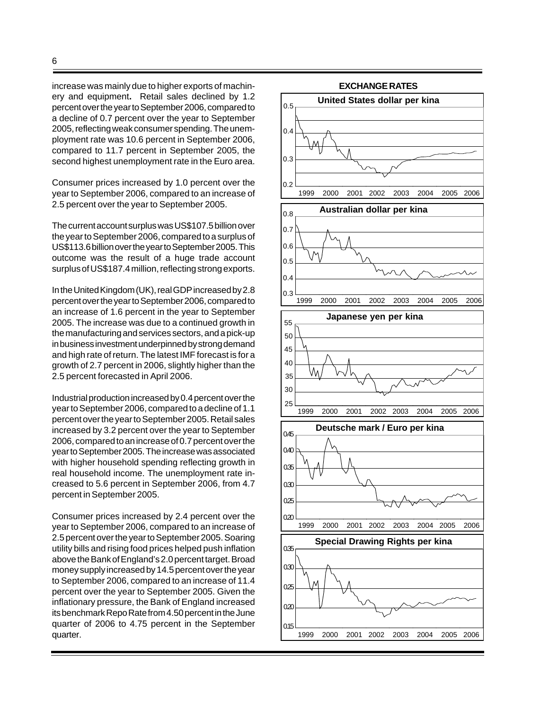increase was mainly due to higher exports of machinery and equipment**.** Retail sales declined by 1.2 percent over the year to September 2006, compared to a decline of 0.7 percent over the year to September 2005, reflecting weak consumer spending.The unemployment rate was 10.6 percent in September 2006, compared to 11.7 percent in September 2005, the second highest unemployment rate in the Euro area.

Consumer prices increased by 1.0 percent over the year to September 2006, compared to an increase of 2.5 percent over the year to September 2005.

The current account surplus was US\$107.5 billion over the year to September 2006, compared to a surplus of US\$113.6 billion over the year to September 2005. This outcome was the result of a huge trade account surplus of US\$187.4 million, reflecting strong exports.

In the United Kingdom (UK), real GDP increased by 2.8 percent over the year to September 2006, compared to an increase of 1.6 percent in the year to September 2005. The increase was due to a continued growth in the manufacturing and services sectors, and a pick-up in business investment underpinned by strong demand and high rate of return. The latest IMF forecast is for a growth of 2.7 percent in 2006, slightly higher than the 2.5 percent forecasted in April 2006.

Industrial production increased by 0.4 percent over the year to September 2006, compared to a decline of 1.1 percent over the year to September 2005.Retail sales increased by 3.2 percent over the year to September 2006, compared to an increase of 0.7 percent over the year to September 2005.The increase was associated with higher household spending reflecting growth in real household income. The unemployment rate increased to 5.6 percent in September 2006, from 4.7 percent in September 2005.

Consumer prices increased by 2.4 percent over the year to September 2006, compared to an increase of 2.5 percent over the year to September 2005. Soaring utility bills and rising food prices helped push inflation above the Bank of England's 2.0 percent target. Broad money supply increased by 14.5 percent over the year to September 2006, compared to an increase of 11.4 percent over the year to September 2005. Given the inflationary pressure, the Bank of England increased its benchmark Repo Rate from 4.50 percent in the June quarter of 2006 to 4.75 percent in the September quarter.

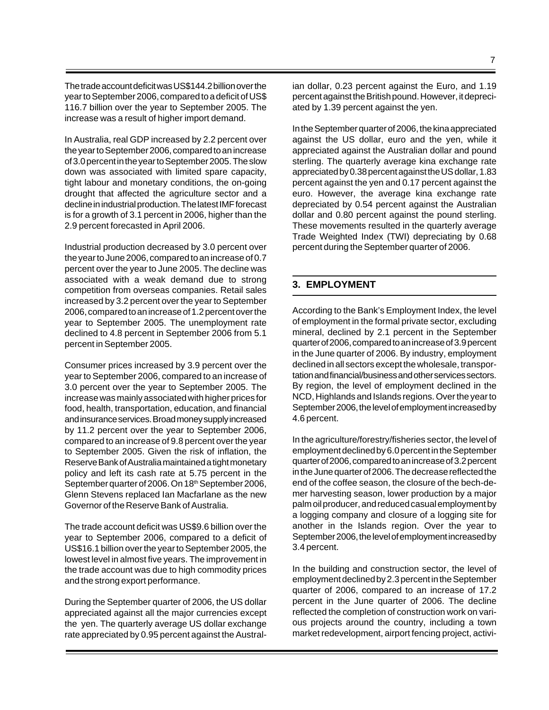The trade account deficit was US\$144.2 billion over the year to September 2006, compared to a deficit of US\$ 116.7 billion over the year to September 2005. The increase was a result of higher import demand.

In Australia, real GDP increased by 2.2 percent over the year to September 2006, compared to an increase of 3.0 percent in the year to September 2005.The slow down was associated with limited spare capacity, tight labour and monetary conditions, the on-going drought that affected the agriculture sector and a decline in industrial production. The latest IMF forecast is for a growth of 3.1 percent in 2006, higher than the 2.9 percent forecasted in April 2006.

Industrial production decreased by 3.0 percent over the year to June 2006, compared to an increase of 0.7 percent over the year to June 2005. The decline was associated with a weak demand due to strong competition from overseas companies. Retail sales increased by 3.2 percent over the year to September 2006, compared to an increase of 1.2 percent over the year to September 2005. The unemployment rate declined to 4.8 percent in September 2006 from 5.1 percent in September 2005.

Consumer prices increased by 3.9 percent over the year to September 2006, compared to an increase of 3.0 percent over the year to September 2005. The increase was mainly associated with higher prices for food, health, transportation, education, and financial and insurance services. Broad money supply increased by 11.2 percent over the year to September 2006, compared to an increase of 9.8 percent over the year to September 2005. Given the risk of inflation, the Reserve Bank of Australia maintained a tight monetary policy and left its cash rate at 5.75 percent in the September quarter of 2006. On 18<sup>th</sup> September 2006, Glenn Stevens replaced Ian Macfarlane as the new Governor of the Reserve Bank of Australia.

The trade account deficit was US\$9.6 billion over the year to September 2006, compared to a deficit of US\$16.1 billion over the year to September 2005, the lowest level in almost five years. The improvement in the trade account was due to high commodity prices and the strong export performance.

During the September quarter of 2006, the US dollar appreciated against all the major currencies except the yen. The quarterly average US dollar exchange rate appreciated by 0.95 percent against the Australian dollar, 0.23 percent against the Euro, and 1.19 percent against the British pound. However, it depreciated by 1.39 percent against the yen.

In the September quarter of 2006, the kina appreciated against the US dollar, euro and the yen, while it appreciated against the Australian dollar and pound sterling. The quarterly average kina exchange rate appreciated by 0.38 percent against the US dollar, 1.83 percent against the yen and 0.17 percent against the euro. However, the average kina exchange rate depreciated by 0.54 percent against the Australian dollar and 0.80 percent against the pound sterling. These movements resulted in the quarterly average Trade Weighted Index (TWI) depreciating by 0.68 percent during the September quarter of 2006.

## **3. EMPLOYMENT**

According to the Bank's Employment Index, the level of employment in the formal private sector, excluding mineral, declined by 2.1 percent in the September quarter of 2006, compared to an increase of 3.9 percent in the June quarter of 2006. By industry, employment declined in all sectors except the wholesale, transportation and financial/business and other services sectors. By region, the level of employment declined in the NCD, Highlands and Islands regions. Over the year to September 2006, the level of employment increased by 4.6 percent.

In the agriculture/forestry/fisheries sector, the level of employment declined by 6.0 percent in the September quarter of 2006, compared to an increase of 3.2 percent in the June quarter of 2006. The decrease reflected the end of the coffee season, the closure of the bech-demer harvesting season, lower production by a major palm oil producer, and reduced casual employment by a logging company and closure of a logging site for another in the Islands region. Over the year to September 2006, the level of employment increased by 3.4 percent.

In the building and construction sector, the level of employment declined by 2.3 percent in the September quarter of 2006, compared to an increase of 17.2 percent in the June quarter of 2006. The decline reflected the completion of construction work on various projects around the country, including a town market redevelopment, airport fencing project, activi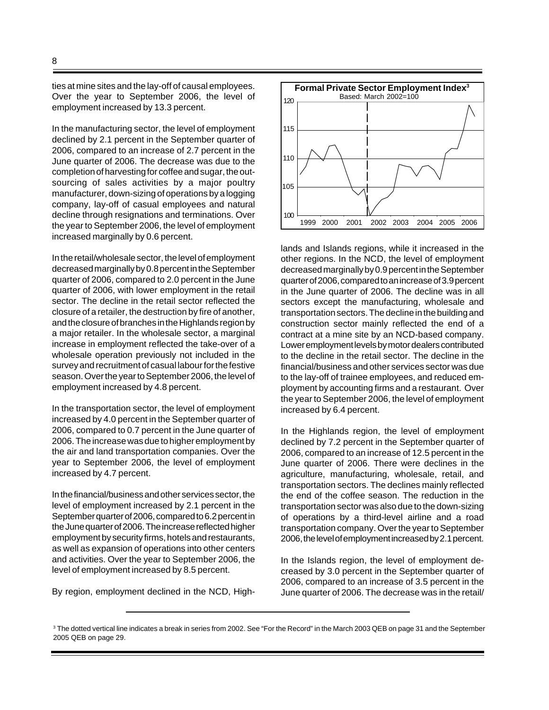ties at mine sites and the lay-off of causal employees. Over the year to September 2006, the level of employment increased by 13.3 percent.

In the manufacturing sector, the level of employment declined by 2.1 percent in the September quarter of 2006, compared to an increase of 2.7 percent in the June quarter of 2006. The decrease was due to the completion of harvesting for coffee and sugar, the outsourcing of sales activities by a major poultry manufacturer, down-sizing of operations by a logging company, lay-off of casual employees and natural decline through resignations and terminations. Over the year to September 2006, the level of employment increased marginally by 0.6 percent.

In the retail/wholesale sector, the level of employment decreased marginally by 0.8 percent in the September quarter of 2006, compared to 2.0 percent in the June quarter of 2006, with lower employment in the retail sector. The decline in the retail sector reflected the closure of a retailer, the destruction by fire of another, and the closure of branches in the Highlands region by a major retailer. In the wholesale sector, a marginal increase in employment reflected the take-over of a wholesale operation previously not included in the survey and recruitment of casual labour for the festive season. Over the year to September 2006, the level of employment increased by 4.8 percent.

In the transportation sector, the level of employment increased by 4.0 percent in the September quarter of 2006, compared to 0.7 percent in the June quarter of 2006. The increase was due to higher employment by the air and land transportation companies. Over the year to September 2006, the level of employment increased by 4.7 percent.

In the financial/business and other services sector, the level of employment increased by 2.1 percent in the September quarter of 2006, compared to 6.2 percent in the June quarter of 2006. The increase reflected higher employment by security firms, hotels and restaurants, as well as expansion of operations into other centers and activities. Over the year to September 2006, the level of employment increased by 8.5 percent.

By region, employment declined in the NCD, High-



lands and Islands regions, while it increased in the other regions. In the NCD, the level of employment decreased marginally by 0.9 percent in the September quarter of 2006, compared to an increase of 3.9 percent in the June quarter of 2006. The decline was in all sectors except the manufacturing, wholesale and transportation sectors. The decline in the building and construction sector mainly reflected the end of a contract at a mine site by an NCD-based company. Lower employment levels by motor dealers contributed to the decline in the retail sector. The decline in the financial/business and other services sector was due to the lay-off of trainee employees, and reduced employment by accounting firms and a restaurant. Over the year to September 2006, the level of employment increased by 6.4 percent.

In the Highlands region, the level of employment declined by 7.2 percent in the September quarter of 2006, compared to an increase of 12.5 percent in the June quarter of 2006. There were declines in the agriculture, manufacturing, wholesale, retail, and transportation sectors. The declines mainly reflected the end of the coffee season. The reduction in the transportation sector was also due to the down-sizing of operations by a third-level airline and a road transportation company. Over the year to September 2006, the level of employment increased by 2.1 percent.

In the Islands region, the level of employment decreased by 3.0 percent in the September quarter of 2006, compared to an increase of 3.5 percent in the June quarter of 2006. The decrease was in the retail/

<sup>3</sup> The dotted vertical line indicates a break in series from 2002. See "For the Record" in the March 2003 QEB on page 31 and the September 2005 QEB on page 29.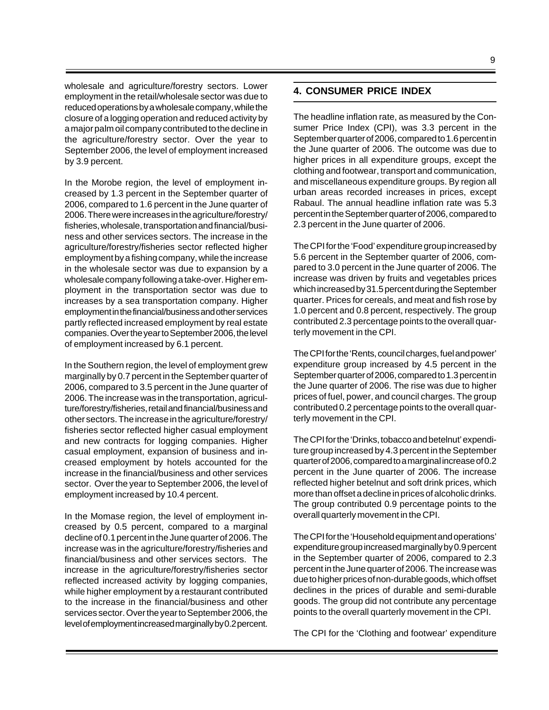wholesale and agriculture/forestry sectors. Lower employment in the retail/wholesale sector was due to reduced operations by a wholesale company, while the closure of a logging operation and reduced activity by a major palm oil company contributed to the decline in the agriculture/forestry sector. Over the year to September 2006, the level of employment increased by 3.9 percent.

In the Morobe region, the level of employment increased by 1.3 percent in the September quarter of 2006, compared to 1.6 percent in the June quarter of 2006. There were increases in the agriculture/forestry/ fisheries, wholesale, transportation and financial/business and other services sectors. The increase in the agriculture/forestry/fisheries sector reflected higher employment by a fishing company, while the increase in the wholesale sector was due to expansion by a wholesale company following a take-over. Higher employment in the transportation sector was due to increases by a sea transportation company. Higher employment in the financial/business and other services partly reflected increased employment by real estate companies. Over the year to September 2006, the level of employment increased by 6.1 percent.

In the Southern region, the level of employment grew marginally by 0.7 percent in the September quarter of 2006, compared to 3.5 percent in the June quarter of 2006. The increase was in the transportation, agriculture/forestry/fisheries, retail and financial/business and other sectors. The increase in the agriculture/forestry/ fisheries sector reflected higher casual employment and new contracts for logging companies. Higher casual employment, expansion of business and increased employment by hotels accounted for the increase in the financial/business and other services sector. Over the year to September 2006, the level of employment increased by 10.4 percent.

In the Momase region, the level of employment increased by 0.5 percent, compared to a marginal decline of 0.1 percent in the June quarter of 2006. The increase was in the agriculture/forestry/fisheries and financial/business and other services sectors. The increase in the agriculture/forestry/fisheries sector reflected increased activity by logging companies, while higher employment by a restaurant contributed to the increase in the financial/business and other services sector. Over the year to September 2006, the level of employment increased marginally by 0.2 percent.

## **4. CONSUMER PRICE INDEX**

The headline inflation rate, as measured by the Consumer Price Index (CPI), was 3.3 percent in the September quarter of 2006, compared to 1.6 percent in the June quarter of 2006. The outcome was due to higher prices in all expenditure groups, except the clothing and footwear, transport and communication, and miscellaneous expenditure groups. By region all urban areas recorded increases in prices, except Rabaul. The annual headline inflation rate was 5.3 percent in the September quarter of 2006, compared to 2.3 percent in the June quarter of 2006.

The CPI for the 'Food' expenditure group increased by 5.6 percent in the September quarter of 2006, compared to 3.0 percent in the June quarter of 2006. The increase was driven by fruits and vegetables prices which increased by 31.5 percent during the September quarter. Prices for cereals, and meat and fish rose by 1.0 percent and 0.8 percent, respectively. The group contributed 2.3 percentage points to the overall quarterly movement in the CPI.

The CPI for the 'Rents, council charges, fuel and power' expenditure group increased by 4.5 percent in the September quarter of 2006, compared to 1.3 percent in the June quarter of 2006. The rise was due to higher prices of fuel, power, and council charges. The group contributed 0.2 percentage points to the overall quarterly movement in the CPI.

The CPI for the 'Drinks, tobacco and betelnut' expenditure group increased by 4.3 percent in the September quarter of 2006, compared to a marginal increase of 0.2 percent in the June quarter of 2006. The increase reflected higher betelnut and soft drink prices, which more than offset a decline in prices of alcoholic drinks. The group contributed 0.9 percentage points to the overall quarterly movement in the CPI.

The CPI for the 'Household equipment and operations' expenditure group increased marginally by 0.9 percent in the September quarter of 2006, compared to 2.3 percent in the June quarter of 2006. The increase was due to higher prices of non-durable goods, which offset declines in the prices of durable and semi-durable goods. The group did not contribute any percentage points to the overall quarterly movement in the CPI.

The CPI for the 'Clothing and footwear' expenditure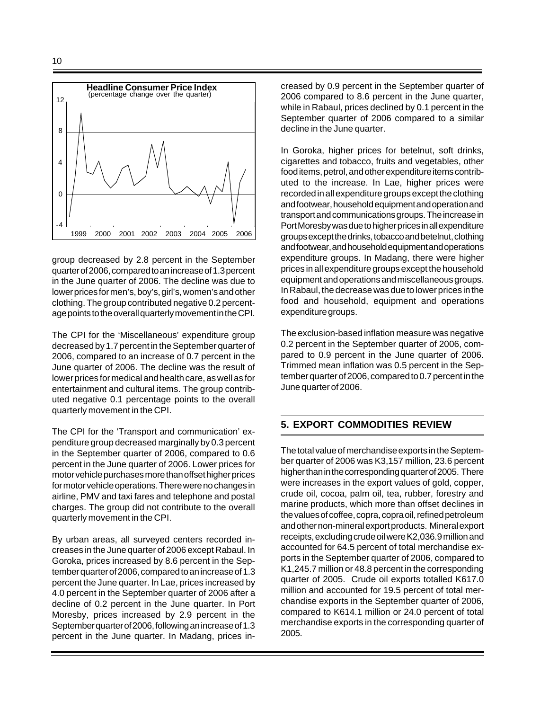

group decreased by 2.8 percent in the September quarter of 2006, compared to an increase of 1.3 percent in the June quarter of 2006. The decline was due to lower prices for men's, boy's, girl's, women's and other clothing. The group contributed negative 0.2 percentage points to the overall quarterly movement in the CPI.

The CPI for the 'Miscellaneous' expenditure group decreased by 1.7 percent in the September quarter of 2006, compared to an increase of 0.7 percent in the June quarter of 2006. The decline was the result of lower prices for medical and health care, as well as for entertainment and cultural items. The group contributed negative 0.1 percentage points to the overall quarterly movement in the CPI.

The CPI for the 'Transport and communication' expenditure group decreased marginally by 0.3 percent in the September quarter of 2006, compared to 0.6 percent in the June quarter of 2006. Lower prices for motor vehicle purchases more than offset higher prices for motor vehicle operations. There were no changes in airline, PMV and taxi fares and telephone and postal charges. The group did not contribute to the overall quarterly movement in the CPI.

By urban areas, all surveyed centers recorded increases in the June quarter of 2006 except Rabaul. In Goroka, prices increased by 8.6 percent in the September quarter of 2006, compared to an increase of 1.3 percent the June quarter. In Lae, prices increased by 4.0 percent in the September quarter of 2006 after a decline of 0.2 percent in the June quarter. In Port Moresby, prices increased by 2.9 percent in the September quarter of 2006, following an increase of 1.3 percent in the June quarter. In Madang, prices increased by 0.9 percent in the September quarter of 2006 compared to 8.6 percent in the June quarter, while in Rabaul, prices declined by 0.1 percent in the September quarter of 2006 compared to a similar decline in the June quarter.

In Goroka, higher prices for betelnut, soft drinks, cigarettes and tobacco, fruits and vegetables, other food items, petrol, and other expenditure items contributed to the increase. In Lae, higher prices were recorded in all expenditure groups except the clothing and footwear, household equipment and operation and transport and communications groups. The increase in Port Moresby was due to higher prices in all expenditure groups except the drinks, tobacco and betelnut, clothing and footwear, and household equipment and operations expenditure groups. In Madang, there were higher prices in all expenditure groups except the household equipment and operations and miscellaneous groups. In Rabaul, the decrease was due to lower prices in the food and household, equipment and operations expenditure groups.

The exclusion-based inflation measure was negative 0.2 percent in the September quarter of 2006, compared to 0.9 percent in the June quarter of 2006. Trimmed mean inflation was 0.5 percent in the September quarter of 2006, compared to 0.7 percent in the June quarter of 2006.

## **5. EXPORT COMMODITIES REVIEW**

The total value of merchandise exports in the September quarter of 2006 was K3,157 million, 23.6 percent higher than in the corresponding quarter of 2005. There were increases in the export values of gold, copper, crude oil, cocoa, palm oil, tea, rubber, forestry and marine products, which more than offset declines in the values of coffee, copra, copra oil, refined petroleum and other non-mineral export products. Mineral export receipts, excluding crude oil were K2,036.9 million and accounted for 64.5 percent of total merchandise exports in the September quarter of 2006, compared to K1,245.7 million or 48.8 percent in the corresponding quarter of 2005. Crude oil exports totalled K617.0 million and accounted for 19.5 percent of total merchandise exports in the September quarter of 2006, compared to K614.1 million or 24.0 percent of total merchandise exports in the corresponding quarter of 2005.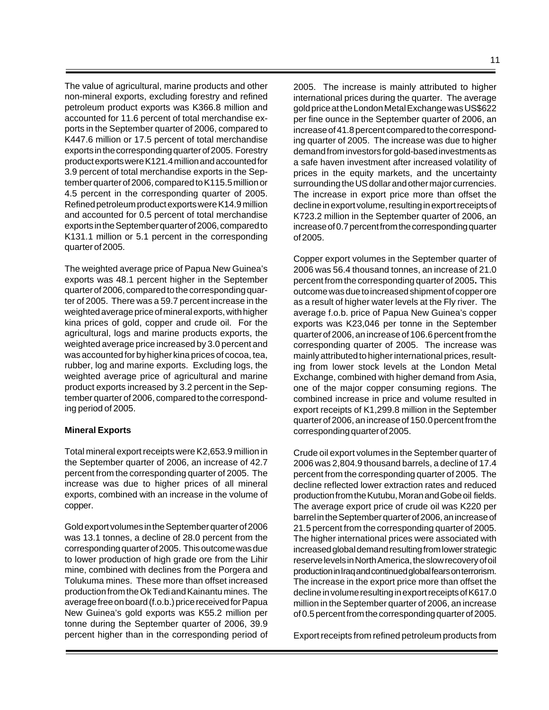The value of agricultural, marine products and other non-mineral exports, excluding forestry and refined petroleum product exports was K366.8 million and accounted for 11.6 percent of total merchandise exports in the September quarter of 2006, compared to K447.6 million or 17.5 percent of total merchandise exports in the corresponding quarter of 2005. Forestry product exports were K121.4 million and accounted for 3.9 percent of total merchandise exports in the September quarter of 2006, compared to K115.5 million or 4.5 percent in the corresponding quarter of 2005. Refined petroleum product exports were K14.9 million and accounted for 0.5 percent of total merchandise exports in the September quarter of 2006, compared to K131.1 million or 5.1 percent in the corresponding quarter of 2005.

The weighted average price of Papua New Guinea's exports was 48.1 percent higher in the September quarter of 2006, compared to the corresponding quarter of 2005. There was a 59.7 percent increase in the weighted average price of mineral exports, with higher kina prices of gold, copper and crude oil. For the agricultural, logs and marine products exports, the weighted average price increased by 3.0 percent and was accounted for by higher kina prices of cocoa, tea, rubber, log and marine exports. Excluding logs, the weighted average price of agricultural and marine product exports increased by 3.2 percent in the September quarter of 2006, compared to the corresponding period of 2005.

#### **Mineral Exports**

Total mineral export receipts were K2,653.9 million in the September quarter of 2006, an increase of 42.7 percent from the corresponding quarter of 2005. The increase was due to higher prices of all mineral exports, combined with an increase in the volume of copper.

Gold export volumes in the September quarter of 2006 was 13.1 tonnes, a decline of 28.0 percent from the corresponding quarter of 2005. This outcome was due to lower production of high grade ore from the Lihir mine, combined with declines from the Porgera and Tolukuma mines. These more than offset increased production from the Ok Tedi and Kainantu mines. The average free on board (f.o.b.) price received for Papua New Guinea's gold exports was K55.2 million per tonne during the September quarter of 2006, 39.9 percent higher than in the corresponding period of 2005. The increase is mainly attributed to higher international prices during the quarter. The average gold price at the London Metal Exchange was US\$622 per fine ounce in the September quarter of 2006, an increase of 41.8 percent compared to the corresponding quarter of 2005. The increase was due to higher demand from investors for gold-based investments as a safe haven investment after increased volatility of prices in the equity markets, and the uncertainty surrounding the US dollar and other major currencies. The increase in export price more than offset the decline in export volume, resulting in export receipts of K723.2 million in the September quarter of 2006, an increase of 0.7 percent from the corresponding quarter of 2005.

Copper export volumes in the September quarter of 2006 was 56.4 thousand tonnes, an increase of 21.0 percent from the corresponding quarter of 2005**.** This outcome was due to increased shipment of copper ore as a result of higher water levels at the Fly river. The average f.o.b. price of Papua New Guinea's copper exports was K23,046 per tonne in the September quarter of 2006, an increase of 106.6 percent from the corresponding quarter of 2005. The increase was mainly attributed to higher international prices, resulting from lower stock levels at the London Metal Exchange, combined with higher demand from Asia, one of the major copper consuming regions. The combined increase in price and volume resulted in export receipts of K1,299.8 million in the September quarter of 2006, an increase of 150.0 percent from the corresponding quarter of 2005.

Crude oil export volumes in the September quarter of 2006 was 2,804.9 thousand barrels, a decline of 17.4 percent from the corresponding quarter of 2005. The decline reflected lower extraction rates and reduced production from the Kutubu, Moran and Gobe oil fields. The average export price of crude oil was K220 per barrel in the September quarter of 2006, an increase of 21.5 percent from the corresponding quarter of 2005. The higher international prices were associated with increased global demand resulting from lower strategic reserve levels in North America, the slow recovery of oil production in Iraq and continued global fears on terrorism. The increase in the export price more than offset the decline in volume resulting in export receipts of K617.0 million in the September quarter of 2006, an increase of 0.5 percent from the corresponding quarter of 2005.

Export receipts from refined petroleum products from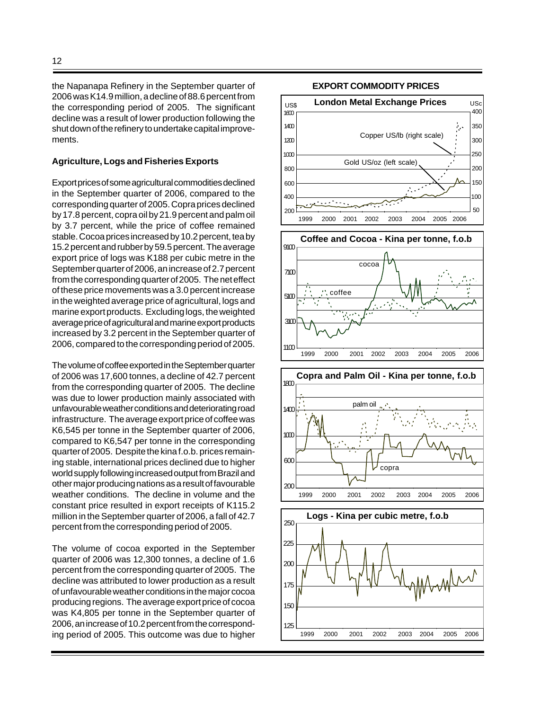the Napanapa Refinery in the September quarter of 2006 was K14.9 million, a decline of 88.6 percent from the corresponding period of 2005. The significant decline was a result of lower production following the shut down of the refinery to undertake capital improvements.

#### **Agriculture, Logs and Fisheries Exports**

Export prices of some agricultural commodities declined in the September quarter of 2006, compared to the corresponding quarter of 2005. Copra prices declined by 17.8 percent, copra oil by 21.9 percent and palm oil by 3.7 percent, while the price of coffee remained stable. Cocoa prices increased by 10.2 percent, tea by 15.2 percent and rubber by 59.5 percent. The average export price of logs was K188 per cubic metre in the September quarter of 2006, an increase of 2.7 percent from the corresponding quarter of 2005. The net effect of these price movements was a 3.0 percent increase in the weighted average price of agricultural, logs and marine export products. Excluding logs, the weighted average price of agricultural and marine export products increased by 3.2 percent in the September quarter of 2006, compared to the corresponding period of 2005.

The volume of coffee exported in the September quarter of 2006 was 17,600 tonnes, a decline of 42.7 percent from the corresponding quarter of 2005. The decline was due to lower production mainly associated with unfavourable weather conditions and deteriorating road infrastructure.The average export price of coffee was K6,545 per tonne in the September quarter of 2006, compared to K6,547 per tonne in the corresponding quarter of 2005. Despite the kina f.o.b. prices remaining stable, international prices declined due to higher world supply following increased output from Brazil and other major producing nations as a result of favourable weather conditions. The decline in volume and the constant price resulted in export receipts of K115.2 million in the September quarter of 2006, a fall of 42.7 percent from the corresponding period of 2005.

The volume of cocoa exported in the September quarter of 2006 was 12,300 tonnes, a decline of 1.6 percent from the corresponding quarter of 2005. The decline was attributed to lower production as a result of unfavourable weather conditions in the major cocoa producing regions. The average export price of cocoa was K4,805 per tonne in the September quarter of 2006, an increase of 10.2 percent from the corresponding period of 2005. This outcome was due to higher

#### **EXPORT COMMODITY PRICES**

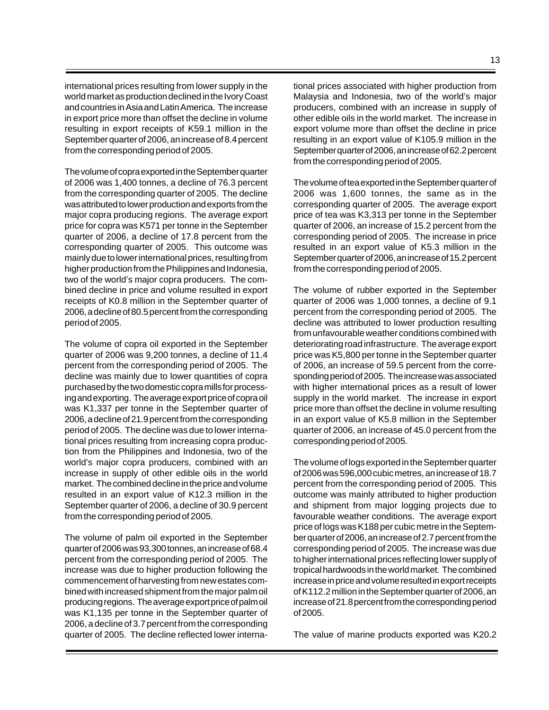international prices resulting from lower supply in the world market as production declined in the Ivory Coast and countries in Asia and Latin America. The increase in export price more than offset the decline in volume resulting in export receipts of K59.1 million in the September quarter of 2006, an increase of 8.4 percent from the corresponding period of 2005.

The volume of copra exported in the September quarter of 2006 was 1,400 tonnes, a decline of 76.3 percent from the corresponding quarter of 2005. The decline was attributed to lower production and exports from the major copra producing regions. The average export price for copra was K571 per tonne in the September quarter of 2006, a decline of 17.8 percent from the corresponding quarter of 2005. This outcome was mainly due to lower international prices, resulting from higher production from the Philippines and Indonesia, two of the world's major copra producers. The combined decline in price and volume resulted in export receipts of K0.8 million in the September quarter of 2006, a decline of 80.5 percent from the corresponding period of 2005.

The volume of copra oil exported in the September quarter of 2006 was 9,200 tonnes, a decline of 11.4 percent from the corresponding period of 2005. The decline was mainly due to lower quantities of copra purchased by the two domestic copra mills for processing and exporting. The average export price of copra oil was K1,337 per tonne in the September quarter of 2006, a decline of 21.9 percent from the corresponding period of 2005. The decline was due to lower international prices resulting from increasing copra production from the Philippines and Indonesia, two of the world's major copra producers, combined with an increase in supply of other edible oils in the world market. The combined decline in the price and volume resulted in an export value of K12.3 million in the September quarter of 2006, a decline of 30.9 percent from the corresponding period of 2005.

The volume of palm oil exported in the September quarter of 2006 was 93,300 tonnes, an increase of 68.4 percent from the corresponding period of 2005. The increase was due to higher production following the commencement of harvesting from new estates combined with increased shipment from the major palm oil producing regions. The average export price of palm oil was K1,135 per tonne in the September quarter of 2006, a decline of 3.7 percent from the corresponding quarter of 2005. The decline reflected lower international prices associated with higher production from Malaysia and Indonesia, two of the world's major producers, combined with an increase in supply of other edible oils in the world market. The increase in export volume more than offset the decline in price resulting in an export value of K105.9 million in the September quarter of 2006, an increase of 62.2 percent from the corresponding period of 2005.

The volume of tea exported in the September quarter of 2006 was 1,600 tonnes, the same as in the corresponding quarter of 2005. The average export price of tea was K3,313 per tonne in the September quarter of 2006, an increase of 15.2 percent from the corresponding period of 2005. The increase in price resulted in an export value of K5.3 million in the September quarter of 2006, an increase of 15.2 percent from the corresponding period of 2005.

The volume of rubber exported in the September quarter of 2006 was 1,000 tonnes, a decline of 9.1 percent from the corresponding period of 2005. The decline was attributed to lower production resulting from unfavourable weather conditions combined with deteriorating road infrastructure. The average export price was K5,800 per tonne in the September quarter of 2006, an increase of 59.5 percent from the corresponding period of 2005. The increase was associated with higher international prices as a result of lower supply in the world market. The increase in export price more than offset the decline in volume resulting in an export value of K5.8 million in the September quarter of 2006, an increase of 45.0 percent from the corresponding period of 2005.

The volume of logs exported in the September quarter of 2006 was 596,000 cubic metres, an increase of 18.7 percent from the corresponding period of 2005. This outcome was mainly attributed to higher production and shipment from major logging projects due to favourable weather conditions. The average export price of logs was K188 per cubic metre in the September quarter of 2006, an increase of 2.7 percent from the corresponding period of 2005. The increase was due to higher international prices reflecting lower supply of tropical hardwoods in the world market. The combined increase in price and volume resulted in export receipts of K112.2 million in the September quarter of 2006, an increase of 21.8 percent from the corresponding period of 2005.

The value of marine products exported was K20.2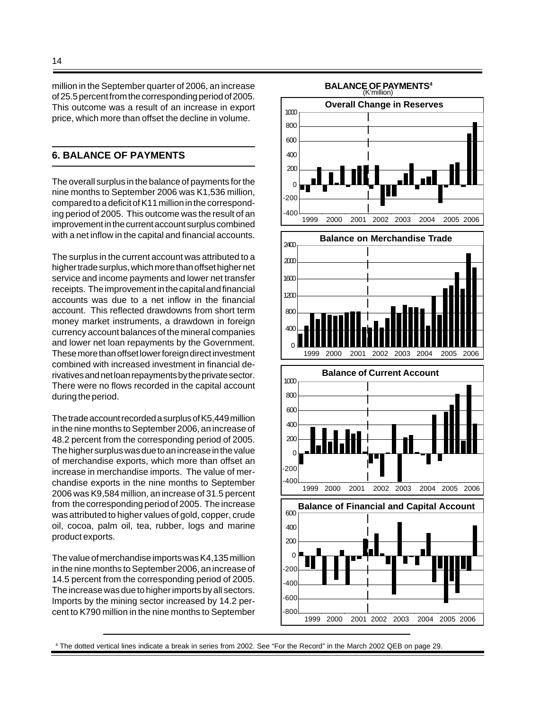million in the September quarter of 2006, an increase of 25.5 percent from the corresponding period of 2005. This outcome was a result of an increase in export price, which more than offset the decline in volume.

## **6. BALANCE OF PAYMENTS**

The overall surplus in the balance of payments for the nine months to September 2006 was K1,536 million, compared to a deficit of K11 million in the corresponding period of 2005. This outcome was the result of an improvement in the current account surplus combined with a net inflow in the capital and financial accounts.

The surplus in the current account was attributed to a higher trade surplus, which more than offset higher net service and income payments and lower net transfer receipts. The improvement in the capital and financial accounts was due to a net inflow in the financial account. This reflected drawdowns from short term money market instruments, a drawdown in foreign currency account balances of the mineral companies and lower net loan repayments by the Government. These more than offset lower foreign direct investment combined with increased investment in financial derivatives and net loan repayments by the private sector. There were no flows recorded in the capital account during the period.

The trade account recorded a surplus of K5,449 million in the nine months to September 2006, an increase of 48.2 percent from the corresponding period of 2005. The higher surplus was due to an increase in the value of merchandise exports, which more than offset an increase in merchandise imports. The value of merchandise exports in the nine months to September 2006 was K9,584 million, an increase of 31.5 percent from the corresponding period of 2005. The increase was attributed to higher values of gold, copper, crude oil, cocoa, palm oil, tea, rubber, logs and marine product exports.

The value of merchandise imports was K4,135 million in the nine months to September 2006, an increase of 14.5 percent from the corresponding period of 2005. The increase was due to higher imports by all sectors. Imports by the mining sector increased by 14.2 percent to K790 million in the nine months to September



4 The dotted vertical lines indicate a break in series from 2002. See "For the Record" in the March 2002 QEB on page 29.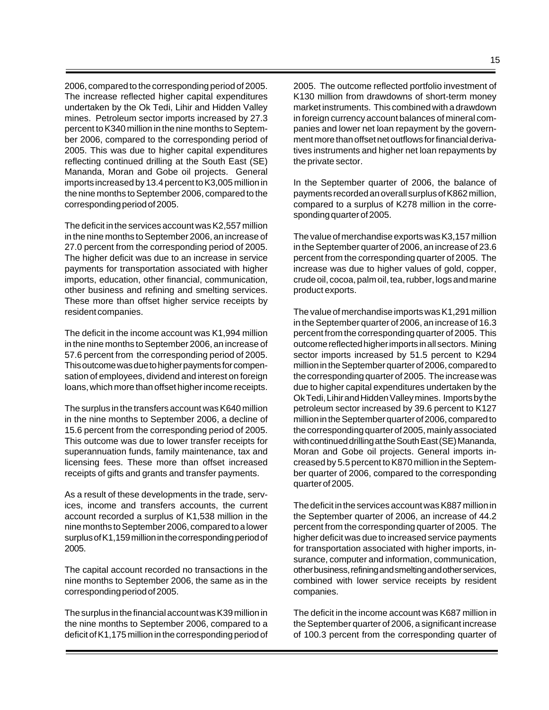2006, compared to the corresponding period of 2005. The increase reflected higher capital expenditures undertaken by the Ok Tedi, Lihir and Hidden Valley mines. Petroleum sector imports increased by 27.3 percent to K340 million in the nine months to September 2006, compared to the corresponding period of 2005. This was due to higher capital expenditures reflecting continued drilling at the South East (SE) Mananda, Moran and Gobe oil projects. General imports increased by 13.4 percent to K3,005 million in the nine months to September 2006, compared to the corresponding period of 2005.

The deficit in the services account was K2,557 million in the nine months to September 2006, an increase of 27.0 percent from the corresponding period of 2005. The higher deficit was due to an increase in service payments for transportation associated with higher imports, education, other financial, communication, other business and refining and smelting services. These more than offset higher service receipts by resident companies.

The deficit in the income account was K1,994 million in the nine months to September 2006, an increase of 57.6 percent from the corresponding period of 2005. This outcome was due to higher payments for compensation of employees, dividend and interest on foreign loans, which more than offset higher income receipts.

The surplus in the transfers account was K640 million in the nine months to September 2006, a decline of 15.6 percent from the corresponding period of 2005. This outcome was due to lower transfer receipts for superannuation funds, family maintenance, tax and licensing fees. These more than offset increased receipts of gifts and grants and transfer payments.

As a result of these developments in the trade, services, income and transfers accounts, the current account recorded a surplus of K1,538 million in the nine months to September 2006, compared to a lower surplus of K1,159 million in the corresponding period of 2005.

The capital account recorded no transactions in the nine months to September 2006, the same as in the corresponding period of 2005.

The surplus in the financial account was K39 million in the nine months to September 2006, compared to a deficit of K1,175 million in the corresponding period of 2005. The outcome reflected portfolio investment of K130 million from drawdowns of short-term money market instruments. This combined with a drawdown in foreign currency account balances of mineral companies and lower net loan repayment by the government more than offset net outflows for financial derivatives instruments and higher net loan repayments by the private sector.

In the September quarter of 2006, the balance of payments recorded an overall surplus of K862 million, compared to a surplus of K278 million in the corresponding quarter of 2005.

The value of merchandise exports was K3,157 million in the September quarter of 2006, an increase of 23.6 percent from the corresponding quarter of 2005. The increase was due to higher values of gold, copper, crude oil, cocoa, palm oil, tea, rubber, logs and marine product exports.

The value of merchandise imports was K1,291 million in the September quarter of 2006, an increase of 16.3 percent from the corresponding quarter of 2005. This outcome reflected higher imports in all sectors. Mining sector imports increased by 51.5 percent to K294 million in the September quarter of 2006, compared to the corresponding quarter of 2005. The increase was due to higher capital expenditures undertaken by the Ok Tedi, Lihir and Hidden Valley mines. Imports by the petroleum sector increased by 39.6 percent to K127 million in the September quarter of 2006, compared to the corresponding quarter of 2005, mainly associated with continued drilling at the South East (SE) Mananda, Moran and Gobe oil projects. General imports increased by 5.5 percent to K870 million in the September quarter of 2006, compared to the corresponding quarter of 2005.

The deficit in the services account was K887 million in the September quarter of 2006, an increase of 44.2 percent from the corresponding quarter of 2005. The higher deficit was due to increased service payments for transportation associated with higher imports, insurance, computer and information, communication, other business, refining and smelting and other services, combined with lower service receipts by resident companies.

The deficit in the income account was K687 million in the September quarter of 2006, a significant increase of 100.3 percent from the corresponding quarter of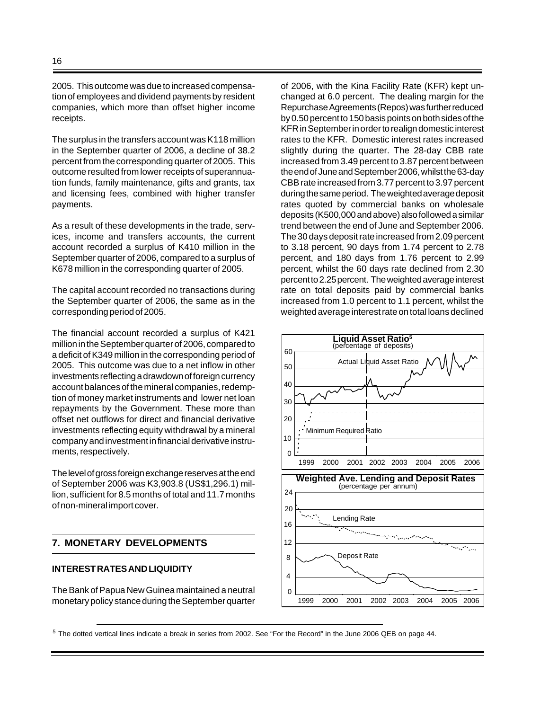2005. This outcome was due to increased compensation of employees and dividend payments by resident companies, which more than offset higher income receipts.

The surplus in the transfers account was K118 million in the September quarter of 2006, a decline of 38.2 percent from the corresponding quarter of 2005. This outcome resulted from lower receipts of superannuation funds, family maintenance, gifts and grants, tax and licensing fees, combined with higher transfer payments.

As a result of these developments in the trade, services, income and transfers accounts, the current account recorded a surplus of K410 million in the September quarter of 2006, compared to a surplus of K678 million in the corresponding quarter of 2005.

The capital account recorded no transactions during the September quarter of 2006, the same as in the corresponding period of 2005.

The financial account recorded a surplus of K421 million in the September quarter of 2006, compared to a deficit of K349 million in the corresponding period of 2005. This outcome was due to a net inflow in other investments reflecting a drawdown of foreign currency account balances of the mineral companies, redemption of money market instruments and lower net loan repayments by the Government. These more than offset net outflows for direct and financial derivative investments reflecting equity withdrawal by a mineral company and investment in financial derivative instruments, respectively.

The level of gross foreign exchange reserves at the end of September 2006 was K3,903.8 (US\$1,296.1) million, sufficient for 8.5 months of total and 11.7 months of non-mineral import cover.

## **7. MONETARY DEVELOPMENTS**

#### **INTEREST RATES AND LIQUIDITY**

The Bank of Papua New Guinea maintained a neutral monetary policy stance during the September quarter

of 2006, with the Kina Facility Rate (KFR) kept unchanged at 6.0 percent. The dealing margin for the Repurchase Agreements (Repos) was further reduced by 0.50 percent to 150 basis points on both sides of the KFR in September in order to realign domestic interest rates to the KFR. Domestic interest rates increased slightly during the quarter. The 28-day CBB rate increased from 3.49 percent to 3.87 percent between the end of June and September 2006, whilst the 63-day CBB rate increased from 3.77 percent to 3.97 percent during the same period. The weighted average deposit rates quoted by commercial banks on wholesale deposits (K500,000 and above) also followed a similar trend between the end of June and September 2006. The 30 days deposit rate increased from 2.09 percent to 3.18 percent, 90 days from 1.74 percent to 2.78 percent, and 180 days from 1.76 percent to 2.99 percent, whilst the 60 days rate declined from 2.30 percent to 2.25 percent. The weighted average interest rate on total deposits paid by commercial banks increased from 1.0 percent to 1.1 percent, whilst the weighted average interest rate on total loans declined



 $5$  The dotted vertical lines indicate a break in series from 2002. See "For the Record" in the June 2006 QEB on page 44.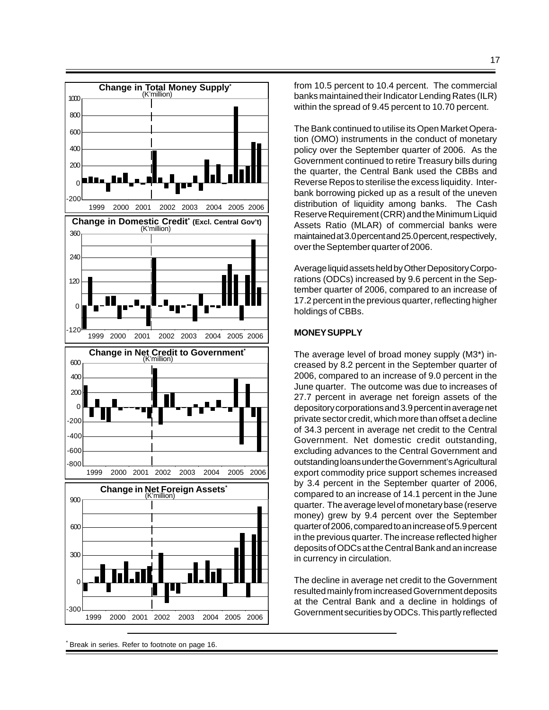

<sup>\*</sup> Break in series. Refer to footnote on page 16.

from 10.5 percent to 10.4 percent. The commercial banks maintained their Indicator Lending Rates (ILR) within the spread of 9.45 percent to 10.70 percent.

The Bank continued to utilise its Open Market Operation (OMO) instruments in the conduct of monetary policy over the September quarter of 2006. As the Government continued to retire Treasury bills during the quarter, the Central Bank used the CBBs and Reverse Repos to sterilise the excess liquidity. Interbank borrowing picked up as a result of the uneven distribution of liquidity among banks. The Cash Reserve Requirement (CRR) and the Minimum Liquid Assets Ratio (MLAR) of commercial banks were maintained at 3.0 percent and 25.0 percent, respectively, over the September quarter of 2006.

Average liquid assets held by Other Depository Corporations (ODCs) increased by 9.6 percent in the September quarter of 2006, compared to an increase of 17.2 percent in the previous quarter, reflecting higher holdings of CBBs.

#### **MONEY SUPPLY**

The average level of broad money supply (M3\*) increased by 8.2 percent in the September quarter of 2006, compared to an increase of 9.0 percent in the June quarter. The outcome was due to increases of 27.7 percent in average net foreign assets of the depository corporations and 3.9 percent in average net private sector credit, which more than offset a decline of 34.3 percent in average net credit to the Central Government. Net domestic credit outstanding, excluding advances to the Central Government and outstanding loans under the Government's Agricultural export commodity price support schemes increased by 3.4 percent in the September quarter of 2006, compared to an increase of 14.1 percent in the June quarter. The average level of monetary base (reserve money) grew by 9.4 percent over the September quarter of 2006, compared to an increase of 5.9 percent in the previous quarter. The increase reflected higher deposits of ODCs at the Central Bank and an increase in currency in circulation.

The decline in average net credit to the Government resulted mainly from increased Government deposits at the Central Bank and a decline in holdings of Government securities by ODCs. This partly reflected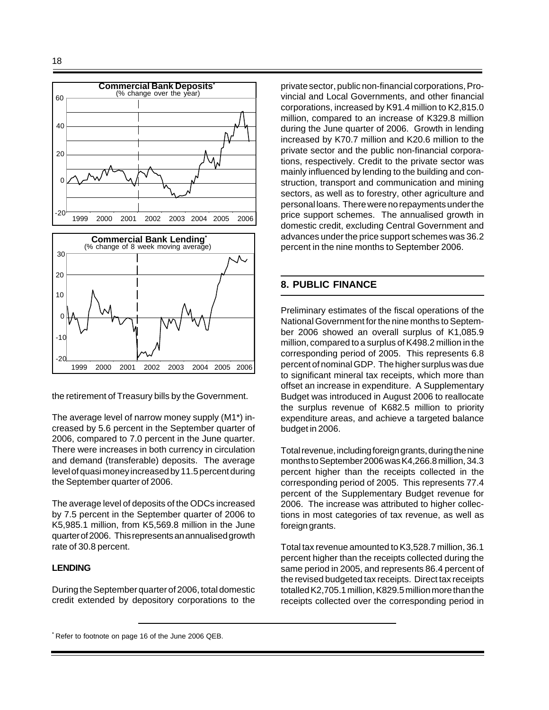

the retirement of Treasury bills by the Government.

The average level of narrow money supply (M1\*) increased by 5.6 percent in the September quarter of 2006, compared to 7.0 percent in the June quarter. There were increases in both currency in circulation and demand (transferable) deposits. The average level of quasi money increased by 11.5 percent during the September quarter of 2006.

The average level of deposits of the ODCs increased by 7.5 percent in the September quarter of 2006 to K5,985.1 million, from K5,569.8 million in the June quarter of 2006. This represents an annualised growth rate of 30.8 percent.

#### **LENDING**

During the September quarter of 2006, total domestic credit extended by depository corporations to the private sector, public non-financial corporations, Provincial and Local Governments, and other financial corporations, increased by K91.4 million to K2,815.0 million, compared to an increase of K329.8 million during the June quarter of 2006. Growth in lending increased by K70.7 million and K20.6 million to the private sector and the public non-financial corporations, respectively. Credit to the private sector was mainly influenced by lending to the building and construction, transport and communication and mining sectors, as well as to forestry, other agriculture and personal loans. There were no repayments under the price support schemes. The annualised growth in domestic credit, excluding Central Government and advances under the price support schemes was 36.2 percent in the nine months to September 2006.

## **8. PUBLIC FINANCE**

Preliminary estimates of the fiscal operations of the National Government for the nine months to September 2006 showed an overall surplus of K1,085.9 million, compared to a surplus of K498.2 million in the corresponding period of 2005. This represents 6.8 percent of nominal GDP. The higher surplus was due to significant mineral tax receipts, which more than offset an increase in expenditure. A Supplementary Budget was introduced in August 2006 to reallocate the surplus revenue of K682.5 million to priority expenditure areas, and achieve a targeted balance budget in 2006.

Total revenue, including foreign grants, during the nine months to September 2006 was K4,266.8 million, 34.3 percent higher than the receipts collected in the corresponding period of 2005. This represents 77.4 percent of the Supplementary Budget revenue for 2006. The increase was attributed to higher collections in most categories of tax revenue, as well as foreign grants.

Total tax revenue amounted to K3,528.7 million, 36.1 percent higher than the receipts collected during the same period in 2005, and represents 86.4 percent of the revised budgeted tax receipts. Direct tax receipts totalled K2,705.1 million, K829.5 million more than the receipts collected over the corresponding period in

<sup>\*</sup> Refer to footnote on page 16 of the June 2006 QEB.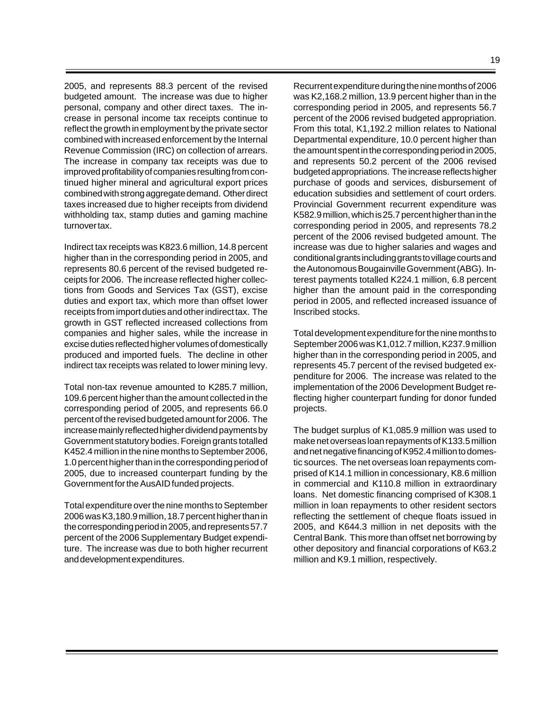19

2005, and represents 88.3 percent of the revised budgeted amount. The increase was due to higher personal, company and other direct taxes. The increase in personal income tax receipts continue to reflect the growth in employment by the private sector combined with increased enforcement by the Internal Revenue Commission (IRC) on collection of arrears. The increase in company tax receipts was due to improved profitability of companies resulting from continued higher mineral and agricultural export prices combined with strong aggregate demand. Other direct taxes increased due to higher receipts from dividend withholding tax, stamp duties and gaming machine turnover tax.

Indirect tax receipts was K823.6 million, 14.8 percent higher than in the corresponding period in 2005, and represents 80.6 percent of the revised budgeted receipts for 2006. The increase reflected higher collections from Goods and Services Tax (GST), excise duties and export tax, which more than offset lower receipts from import duties and other indirect tax. The growth in GST reflected increased collections from companies and higher sales, while the increase in excise duties reflected higher volumes of domestically produced and imported fuels. The decline in other indirect tax receipts was related to lower mining levy.

Total non-tax revenue amounted to K285.7 million, 109.6 percent higher than the amount collected in the corresponding period of 2005, and represents 66.0 percent of the revised budgeted amount for 2006. The increase mainly reflected higher dividend payments by Government statutory bodies. Foreign grants totalled K452.4 million in the nine months to September 2006, 1.0 percent higher than in the corresponding period of 2005, due to increased counterpart funding by the Government for the AusAID funded projects.

Total expenditure over the nine months to September 2006 was K3,180.9 million, 18.7 percent higher than in the corresponding period in 2005, and represents 57.7 percent of the 2006 Supplementary Budget expenditure. The increase was due to both higher recurrent and development expenditures.

Recurrent expenditure during the nine months of 2006 was K2,168.2 million, 13.9 percent higher than in the corresponding period in 2005, and represents 56.7 percent of the 2006 revised budgeted appropriation. From this total, K1,192.2 million relates to National Departmental expenditure, 10.0 percent higher than the amount spent in the corresponding period in 2005, and represents 50.2 percent of the 2006 revised budgeted appropriations. The increase reflects higher purchase of goods and services, disbursement of education subsidies and settlement of court orders. Provincial Government recurrent expenditure was K582.9 million, which is 25.7 percent higher than in the corresponding period in 2005, and represents 78.2 percent of the 2006 revised budgeted amount. The increase was due to higher salaries and wages and conditional grants including grants to village courts and the Autonomous Bougainville Government (ABG). Interest payments totalled K224.1 million, 6.8 percent higher than the amount paid in the corresponding period in 2005, and reflected increased issuance of Inscribed stocks.

Total development expenditure for the nine months to September 2006 was K1,012.7 million, K237.9 million higher than in the corresponding period in 2005, and represents 45.7 percent of the revised budgeted expenditure for 2006. The increase was related to the implementation of the 2006 Development Budget reflecting higher counterpart funding for donor funded projects.

The budget surplus of K1,085.9 million was used to make net overseas loan repayments of K133.5 million and net negative financing of K952.4 million to domestic sources. The net overseas loan repayments comprised of K14.1 million in concessionary, K8.6 million in commercial and K110.8 million in extraordinary loans. Net domestic financing comprised of K308.1 million in loan repayments to other resident sectors reflecting the settlement of cheque floats issued in 2005, and K644.3 million in net deposits with the Central Bank. This more than offset net borrowing by other depository and financial corporations of K63.2 million and K9.1 million, respectively.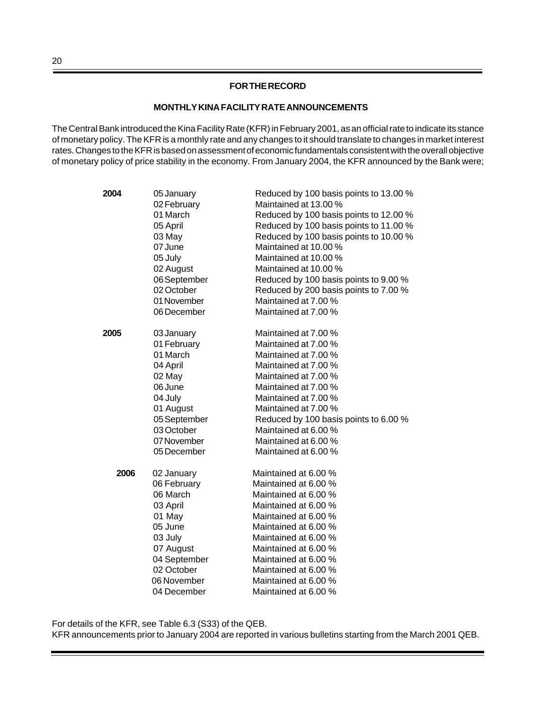## **FOR THE RECORD**

#### **MONTHLY KINA FACILITY RATE ANNOUNCEMENTS**

The Central Bank introduced the Kina Facility Rate (KFR) in February 2001, as an official rate to indicate its stance of monetary policy. The KFR is a monthly rate and any changes to it should translate to changes in market interest rates. Changes to the KFR is based on assessment of economic fundamentals consistent with the overall objective of monetary policy of price stability in the economy. From January 2004, the KFR announced by the Bank were;

| 2004 | 05 January   | Reduced by 100 basis points to 13.00 % |
|------|--------------|----------------------------------------|
|      | 02 February  | Maintained at 13.00 %                  |
|      | 01 March     | Reduced by 100 basis points to 12.00 % |
|      | 05 April     | Reduced by 100 basis points to 11.00 % |
|      | 03 May       | Reduced by 100 basis points to 10.00 % |
|      | 07 June      | Maintained at 10.00 %                  |
|      | 05 July      | Maintained at 10.00 %                  |
|      | 02 August    | Maintained at 10.00 %                  |
|      | 06 September | Reduced by 100 basis points to 9.00 %  |
|      | 02 October   | Reduced by 200 basis points to 7.00 %  |
|      | 01 November  | Maintained at 7.00 %                   |
|      | 06 December  | Maintained at 7.00 %                   |
| 2005 | 03 January   | Maintained at 7.00 %                   |
|      | 01 February  | Maintained at 7.00 %                   |
|      | 01 March     | Maintained at 7.00 %                   |
|      | 04 April     | Maintained at 7.00 %                   |
|      | 02 May       | Maintained at 7.00 %                   |
|      | 06 June      | Maintained at 7.00 %                   |
|      | 04 July      | Maintained at 7.00 %                   |
|      | 01 August    | Maintained at 7.00 %                   |
|      | 05 September | Reduced by 100 basis points to 6.00 %  |
|      | 03 October   | Maintained at 6.00 %                   |
|      | 07 November  | Maintained at 6.00 %                   |
|      | 05 December  | Maintained at 6.00 %                   |
| 2006 | 02 January   | Maintained at 6.00 %                   |
|      | 06 February  | Maintained at 6.00 %                   |
|      | 06 March     | Maintained at 6.00 %                   |
|      | 03 April     | Maintained at 6.00 %                   |
|      | 01 May       | Maintained at 6.00 %                   |
|      | 05 June      | Maintained at 6.00 %                   |
|      | 03 July      | Maintained at 6.00 %                   |
|      | 07 August    | Maintained at 6.00 %                   |
|      | 04 September | Maintained at 6.00 %                   |
|      | 02 October   | Maintained at 6.00 %                   |
|      | 06 November  | Maintained at 6.00 %                   |
|      | 04 December  | Maintained at 6.00 %                   |

For details of the KFR, see Table 6.3 (S33) of the QEB.

KFR announcements prior to January 2004 are reported in various bulletins starting from the March 2001 QEB.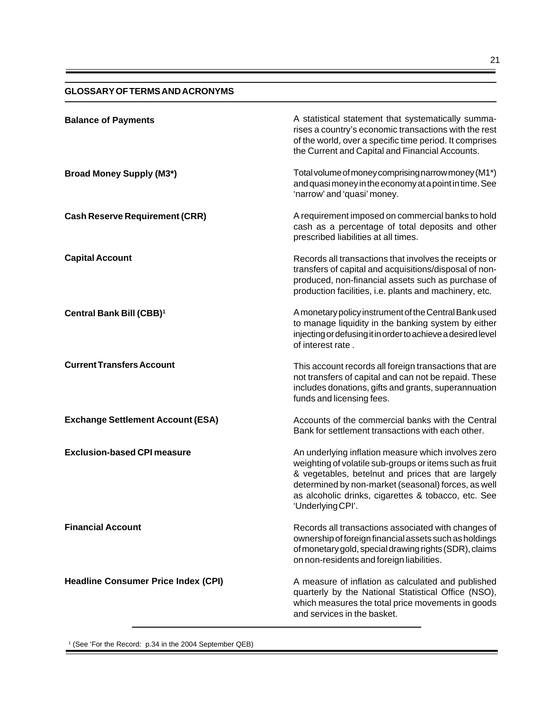#### **GLOSSARY OF TERMS AND ACRONYMS**

| <b>Balance of Payments</b>                 | A statistical statement that systematically summa-<br>rises a country's economic transactions with the rest<br>of the world, over a specific time period. It comprises<br>the Current and Capital and Financial Accounts.                                                                               |
|--------------------------------------------|---------------------------------------------------------------------------------------------------------------------------------------------------------------------------------------------------------------------------------------------------------------------------------------------------------|
| <b>Broad Money Supply (M3*)</b>            | Total volume of money comprising narrow money (M1*)<br>and quasi money in the economy at a point in time. See<br>'narrow' and 'quasi' money.                                                                                                                                                            |
| <b>Cash Reserve Requirement (CRR)</b>      | A requirement imposed on commercial banks to hold<br>cash as a percentage of total deposits and other<br>prescribed liabilities at all times.                                                                                                                                                           |
| <b>Capital Account</b>                     | Records all transactions that involves the receipts or<br>transfers of capital and acquisitions/disposal of non-<br>produced, non-financial assets such as purchase of<br>production facilities, i.e. plants and machinery, etc.                                                                        |
| Central Bank Bill (CBB) <sup>1</sup>       | A monetary policy instrument of the Central Bank used<br>to manage liquidity in the banking system by either<br>injecting or defusing it in order to achieve a desired level<br>of interest rate.                                                                                                       |
| <b>Current Transfers Account</b>           | This account records all foreign transactions that are<br>not transfers of capital and can not be repaid. These<br>includes donations, gifts and grants, superannuation<br>funds and licensing fees.                                                                                                    |
| <b>Exchange Settlement Account (ESA)</b>   | Accounts of the commercial banks with the Central<br>Bank for settlement transactions with each other.                                                                                                                                                                                                  |
| <b>Exclusion-based CPI measure</b>         | An underlying inflation measure which involves zero<br>weighting of volatile sub-groups or items such as fruit<br>& vegetables, betelnut and prices that are largely<br>determined by non-market (seasonal) forces, as well<br>as alcoholic drinks, cigarettes & tobacco, etc. See<br>'Underlying CPI'. |
| <b>Financial Account</b>                   | Records all transactions associated with changes of<br>ownership of foreign financial assets such as holdings<br>of monetary gold, special drawing rights (SDR), claims<br>on non-residents and foreign liabilities.                                                                                    |
| <b>Headline Consumer Price Index (CPI)</b> | A measure of inflation as calculated and published<br>quarterly by the National Statistical Office (NSO),<br>which measures the total price movements in goods<br>and services in the basket.                                                                                                           |

1 (See 'For the Record: p.34 in the 2004 September QEB)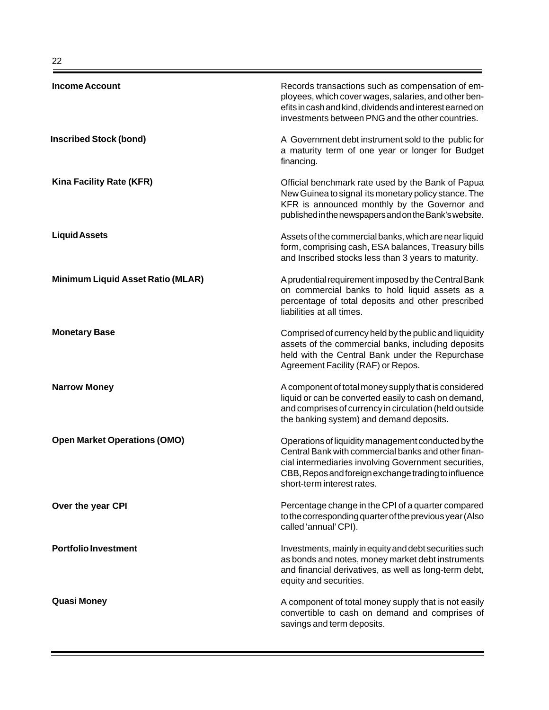| <b>Income Account</b>                    | Records transactions such as compensation of em-<br>ployees, which cover wages, salaries, and other ben-<br>efits in cash and kind, dividends and interest earned on<br>investments between PNG and the other countries.                                 |
|------------------------------------------|----------------------------------------------------------------------------------------------------------------------------------------------------------------------------------------------------------------------------------------------------------|
| <b>Inscribed Stock (bond)</b>            | A Government debt instrument sold to the public for<br>a maturity term of one year or longer for Budget<br>financing.                                                                                                                                    |
| Kina Facility Rate (KFR)                 | Official benchmark rate used by the Bank of Papua<br>New Guinea to signal its monetary policy stance. The<br>KFR is announced monthly by the Governor and<br>published in the newspapers and on the Bank's website.                                      |
| <b>Liquid Assets</b>                     | Assets of the commercial banks, which are near liquid<br>form, comprising cash, ESA balances, Treasury bills<br>and Inscribed stocks less than 3 years to maturity.                                                                                      |
| <b>Minimum Liquid Asset Ratio (MLAR)</b> | A prudential requirement imposed by the Central Bank<br>on commercial banks to hold liquid assets as a<br>percentage of total deposits and other prescribed<br>liabilities at all times.                                                                 |
| <b>Monetary Base</b>                     | Comprised of currency held by the public and liquidity<br>assets of the commercial banks, including deposits<br>held with the Central Bank under the Repurchase<br>Agreement Facility (RAF) or Repos.                                                    |
| <b>Narrow Money</b>                      | A component of total money supply that is considered<br>liquid or can be converted easily to cash on demand,<br>and comprises of currency in circulation (held outside<br>the banking system) and demand deposits.                                       |
| <b>Open Market Operations (OMO)</b>      | Operations of liquidity management conducted by the<br>Central Bank with commercial banks and other finan-<br>cial intermediaries involving Government securities,<br>CBB, Repos and foreign exchange trading to influence<br>short-term interest rates. |
| Over the year CPI                        | Percentage change in the CPI of a quarter compared<br>to the corresponding quarter of the previous year (Also<br>called 'annual' CPI).                                                                                                                   |
| <b>Portfolio Investment</b>              | Investments, mainly in equity and debt securities such<br>as bonds and notes, money market debt instruments<br>and financial derivatives, as well as long-term debt,<br>equity and securities.                                                           |
| <b>Quasi Money</b>                       | A component of total money supply that is not easily<br>convertible to cash on demand and comprises of<br>savings and term deposits.                                                                                                                     |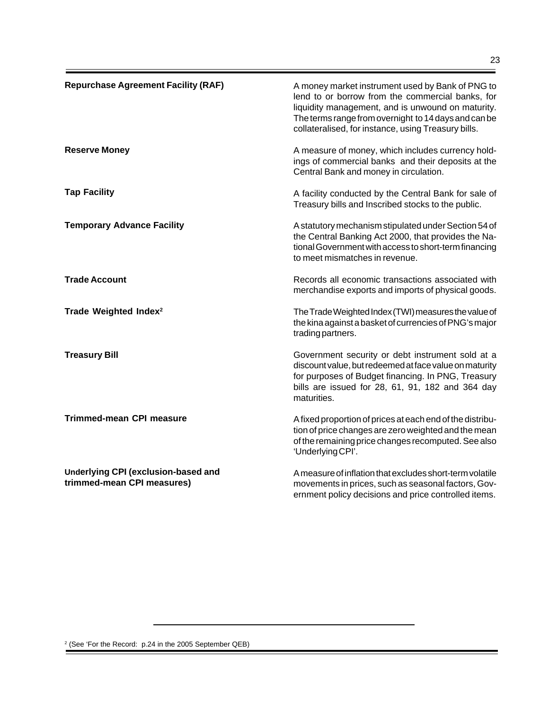| <b>Repurchase Agreement Facility (RAF)</b>                        | A money market instrument used by Bank of PNG to<br>lend to or borrow from the commercial banks, for<br>liquidity management, and is unwound on maturity.<br>The terms range from overnight to 14 days and can be<br>collateralised, for instance, using Treasury bills. |
|-------------------------------------------------------------------|--------------------------------------------------------------------------------------------------------------------------------------------------------------------------------------------------------------------------------------------------------------------------|
| <b>Reserve Money</b>                                              | A measure of money, which includes currency hold-<br>ings of commercial banks and their deposits at the<br>Central Bank and money in circulation.                                                                                                                        |
| <b>Tap Facility</b>                                               | A facility conducted by the Central Bank for sale of<br>Treasury bills and Inscribed stocks to the public.                                                                                                                                                               |
| <b>Temporary Advance Facility</b>                                 | A statutory mechanism stipulated under Section 54 of<br>the Central Banking Act 2000, that provides the Na-<br>tional Government with access to short-term financing<br>to meet mismatches in revenue.                                                                   |
| <b>Trade Account</b>                                              | Records all economic transactions associated with<br>merchandise exports and imports of physical goods.                                                                                                                                                                  |
| Trade Weighted Index <sup>2</sup>                                 | The Trade Weighted Index (TWI) measures the value of<br>the kina against a basket of currencies of PNG's major<br>trading partners.                                                                                                                                      |
| <b>Treasury Bill</b>                                              | Government security or debt instrument sold at a<br>discount value, but redeemed at face value on maturity<br>for purposes of Budget financing. In PNG, Treasury<br>bills are issued for 28, 61, 91, 182 and 364 day<br>maturities.                                      |
| <b>Trimmed-mean CPI measure</b>                                   | A fixed proportion of prices at each end of the distribu-<br>tion of price changes are zero weighted and the mean<br>of the remaining price changes recomputed. See also<br>'Underlying CPI'.                                                                            |
| Underlying CPI (exclusion-based and<br>trimmed-mean CPI measures) | A measure of inflation that excludes short-term volatile<br>movements in prices, such as seasonal factors, Gov-<br>ernment policy decisions and price controlled items.                                                                                                  |

<sup>2</sup> (See 'For the Record: p.24 in the 2005 September QEB)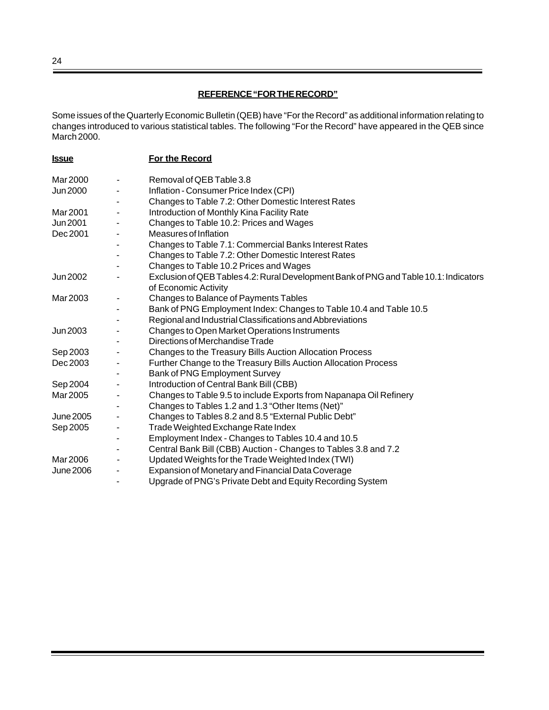## **REFERENCE "FOR THE RECORD"**

Some issues of the Quarterly Economic Bulletin (QEB) have "For the Record" as additional information relating to changes introduced to various statistical tables. The following "For the Record" have appeared in the QEB since March 2000.

| <u>Issue</u>     | For the Record                                                                        |
|------------------|---------------------------------------------------------------------------------------|
| Mar 2000         | Removal of QEB Table 3.8                                                              |
| <b>Jun 2000</b>  | Inflation - Consumer Price Index (CPI)                                                |
|                  | Changes to Table 7.2: Other Domestic Interest Rates                                   |
| Mar 2001         | Introduction of Monthly Kina Facility Rate                                            |
| Jun 2001         | Changes to Table 10.2: Prices and Wages                                               |
| Dec 2001         | Measures of Inflation                                                                 |
|                  | Changes to Table 7.1: Commercial Banks Interest Rates                                 |
|                  | Changes to Table 7.2: Other Domestic Interest Rates                                   |
|                  | Changes to Table 10.2 Prices and Wages                                                |
| Jun 2002         | Exclusion of QEB Tables 4.2: Rural Development Bank of PNG and Table 10.1: Indicators |
|                  | of Economic Activity                                                                  |
| Mar 2003         | Changes to Balance of Payments Tables                                                 |
|                  | Bank of PNG Employment Index: Changes to Table 10.4 and Table 10.5                    |
|                  | Regional and Industrial Classifications and Abbreviations                             |
| Jun 2003         | Changes to Open Market Operations Instruments<br>Directions of Merchandise Trade      |
|                  |                                                                                       |
| Sep 2003         | Changes to the Treasury Bills Auction Allocation Process                              |
| Dec 2003         | Further Change to the Treasury Bills Auction Allocation Process                       |
|                  | Bank of PNG Employment Survey                                                         |
| Sep 2004         | Introduction of Central Bank Bill (CBB)                                               |
| Mar 2005         | Changes to Table 9.5 to include Exports from Napanapa Oil Refinery                    |
|                  | Changes to Tables 1.2 and 1.3 "Other Items (Net)"                                     |
| <b>June 2005</b> | Changes to Tables 8.2 and 8.5 "External Public Debt"                                  |
| Sep 2005         | Trade Weighted Exchange Rate Index                                                    |
|                  | Employment Index - Changes to Tables 10.4 and 10.5                                    |
|                  | Central Bank Bill (CBB) Auction - Changes to Tables 3.8 and 7.2                       |
| Mar 2006         | Updated Weights for the Trade Weighted Index (TWI)                                    |
| June 2006        | Expansion of Monetary and Financial Data Coverage                                     |
|                  | Upgrade of PNG's Private Debt and Equity Recording System                             |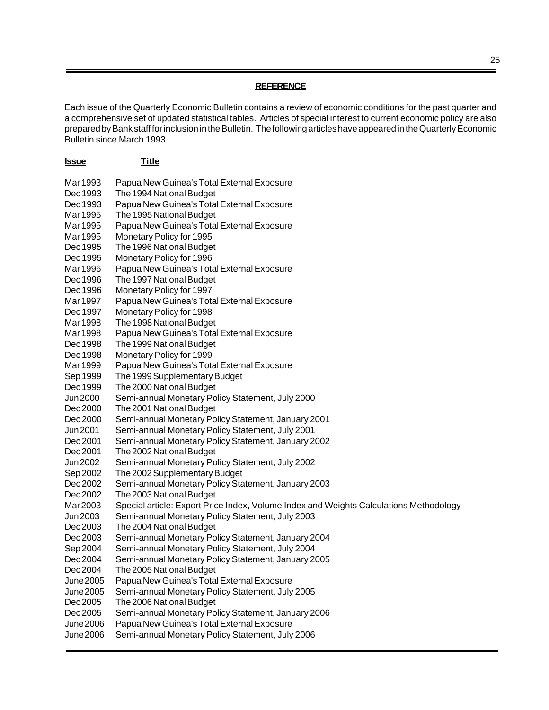## **REFERENCE**

Each issue of the Quarterly Economic Bulletin contains a review of economic conditions for the past quarter and a comprehensive set of updated statistical tables. Articles of special interest to current economic policy are also prepared by Bank staff for inclusion in the Bulletin. The following articles have appeared in the Quarterly Economic Bulletin since March 1993.

| <u>Issue</u> | <b>Title</b>                                                                           |
|--------------|----------------------------------------------------------------------------------------|
| Mar 1993     | Papua New Guinea's Total External Exposure                                             |
| Dec 1993     | The 1994 National Budget                                                               |
| Dec 1993     | Papua New Guinea's Total External Exposure                                             |
| Mar 1995     | The 1995 National Budget                                                               |
| Mar 1995     | Papua New Guinea's Total External Exposure                                             |
| Mar 1995     | Monetary Policy for 1995                                                               |
| Dec 1995     | The 1996 National Budget                                                               |
| Dec 1995     | Monetary Policy for 1996                                                               |
| Mar 1996     | Papua New Guinea's Total External Exposure                                             |
| Dec 1996     | The 1997 National Budget                                                               |
| Dec 1996     | Monetary Policy for 1997                                                               |
| Mar 1997     | Papua New Guinea's Total External Exposure                                             |
| Dec 1997     | Monetary Policy for 1998                                                               |
| Mar 1998     | The 1998 National Budget                                                               |
| Mar 1998     | Papua New Guinea's Total External Exposure                                             |
| Dec 1998     | The 1999 National Budget                                                               |
| Dec 1998     | Monetary Policy for 1999                                                               |
| Mar 1999     | Papua New Guinea's Total External Exposure                                             |
| Sep 1999     | The 1999 Supplementary Budget                                                          |
| Dec 1999     | The 2000 National Budget                                                               |
| Jun 2000     | Semi-annual Monetary Policy Statement, July 2000                                       |
| Dec 2000     | The 2001 National Budget                                                               |
| Dec 2000     | Semi-annual Monetary Policy Statement, January 2001                                    |
| Jun 2001     | Semi-annual Monetary Policy Statement, July 2001                                       |
| Dec 2001     | Semi-annual Monetary Policy Statement, January 2002                                    |
| Dec 2001     | The 2002 National Budget                                                               |
| Jun 2002     | Semi-annual Monetary Policy Statement, July 2002                                       |
| Sep 2002     | The 2002 Supplementary Budget                                                          |
| Dec 2002     | Semi-annual Monetary Policy Statement, January 2003                                    |
| Dec 2002     | The 2003 National Budget                                                               |
| Mar 2003     | Special article: Export Price Index, Volume Index and Weights Calculations Methodology |
| Jun 2003     | Semi-annual Monetary Policy Statement, July 2003                                       |
| Dec 2003     | The 2004 National Budget                                                               |
| Dec 2003     | Semi-annual Monetary Policy Statement, January 2004                                    |
| Sep 2004     | Semi-annual Monetary Policy Statement, July 2004                                       |
| Dec 2004     | Semi-annual Monetary Policy Statement, January 2005                                    |
| Dec 2004     | The 2005 National Budget                                                               |
| June 2005    | Papua New Guinea's Total External Exposure                                             |
| June 2005    | Semi-annual Monetary Policy Statement, July 2005                                       |
| Dec 2005     | The 2006 National Budget                                                               |
| Dec 2005     | Semi-annual Monetary Policy Statement, January 2006                                    |
| June 2006    | Papua New Guinea's Total External Exposure                                             |
| June 2006    | Semi-annual Monetary Policy Statement, July 2006                                       |